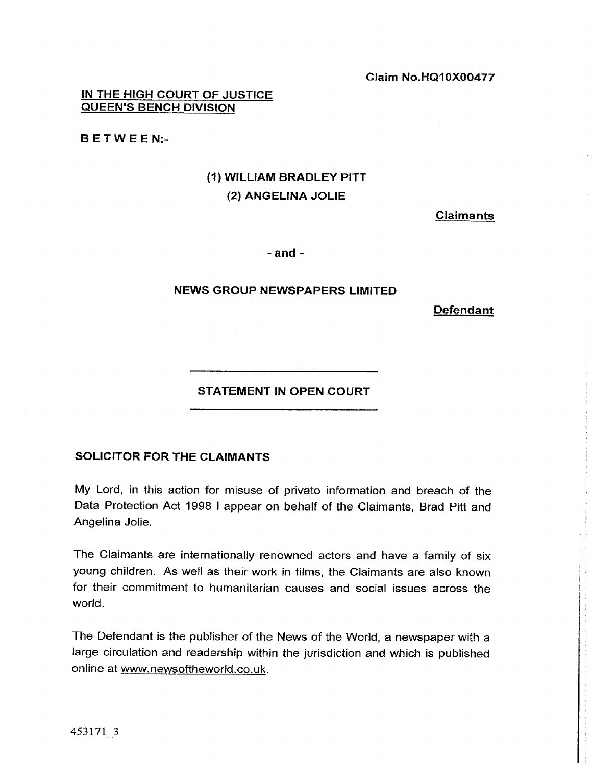**IN THE HIGH COURT OF JUSTICE QUEEN'S BENCH DIVISION** 

**B E T W E E N:-** 

## *(1)* **WILLIAM BRADLEY PITT (2) ANGELINA JOLIE**

Claimants

 $-$ and  $-$ 

## **NEWS GROUP NEWSPAPERS LIMITED**

**Defendant** 

## **STATEMENT IN OPEN COURT**

## **SOLICITOR FOR THE CLAIMANTS**

My Lord, in this action for misuse of private information and breach of the Data Protection Act 1998 I appear on behalf of the Claimants, Brad Pitt and Angelina Jolie.

The Claimants are internationally renowned actors and have a family of six young children. As well as their work in films, the Claimants are also known for their commitment to humanitarian causes and social issues across the world.

The Defendant is the publisher of the News of the World, a newspaper with a large circulation and readership within the jurisdiction and which is published online at www.newsoftheworld.co.uk.